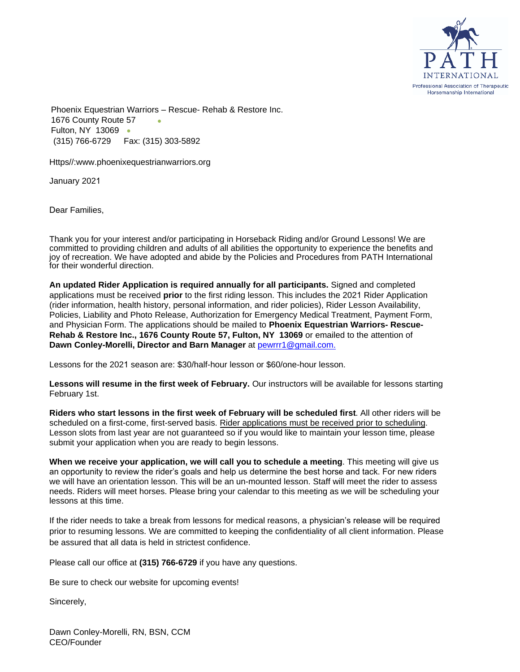

Phoenix Equestrian Warriors – Rescue- Rehab & Restore Inc. 1676 County Route 57 Fulton, NY 13069 . (315) 766-6729 Fax: (315) 303-5892

Htt[ps//:www.phoenixequestrianwarriors.org](http://www.phoenixequestrianwarriors.org/) 

January 2021

Dear Families,

Thank you for your interest and/or participating in Horseback Riding and/or Ground Lessons! We are committed to providing children and adults of all abilities the opportunity to experience the benefits and joy of recreation. We have adopted and abide by the Policies and Procedures from PATH International for their wonderful direction.

**An updated Rider Application is required annually for all participants.** Signed and completed applications must be received **prior** to the first riding lesson. This includes the 2021 Rider Application (rider information, health history, personal information, and rider policies), Rider Lesson Availability, Policies, Liability and Photo Release, Authorization for Emergency Medical Treatment, Payment Form, and Physician Form. The applications should be mailed to **Phoenix Equestrian Warriors- Rescue-Rehab & Restore Inc., 1676 County Route 57, [Fulton, NY 13069](mailto:pewrrr1@gmail.com.)** or emailed to the attention of **Dawn Conley-Morelli, Director and Barn Manager** at pewrrr1@gmail.com.

Lessons for the 2021 season are: \$30/half-hour lesson or \$60/one-hour lesson.

Lessons will resume in the first week of February. Our instructors will be available for lessons starting February 1st.

**Riders who start lessons in the first week of February will be scheduled first**. All other riders will be scheduled on a first-come, first-served basis. Rider applications must be received prior to scheduling. Lesson slots from last year are not guaranteed so if you would like to maintain your lesson time, please submit your application when you are ready to begin lessons.

**When we receive your application, we will call you to schedule a meeting**. This meeting will give us an opportunity to review the rider's goals and help us determine the best horse and tack. For new riders we will have an orientation lesson. This will be an un-mounted lesson. Staff will meet the rider to assess needs. Riders will meet horses. Please bring your calendar to this meeting as we will be scheduling your lessons at this time.

If the rider needs to take a break from lessons for medical reasons, a physician's release will be required prior to resuming lessons. We are committed to keeping the confidentiality of all client information. Please be assured that all data is held in strictest confidence.

Please call our office at **(315) 766-6729** if you have any questions.

Be sure to check our website for upcoming events!

Sincerely,

Dawn Conley-Morelli, RN, BSN, CCM CEO/Founder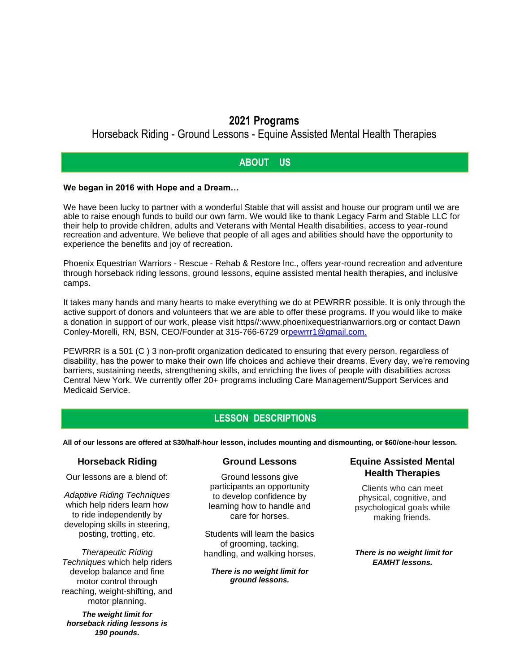## **202**1 **Programs**

## Horseback Riding - Ground Lessons - Equine Assisted Mental Health Therapies

### **ABOUT US**

#### **We began in 2016 with Hope and a Dream…**

We have been lucky to partner with a wonderful Stable that will assist and house our program until we are able to raise enough funds to build our own farm. We would like to thank Legacy Farm and Stable LLC for their help to provide children, adults and Veterans with Mental Health disabilities, access to year-round recreation and adventure. We believe that people of all ages and abilities should have the opportunity to experience the benefits and joy of recreation.

Phoenix Equestrian Warriors - Rescue - Rehab & Restore Inc., offers year-round recreation and adventure through horseback riding lessons, ground lessons, equine assisted mental health therapies, and inclusive camps.

It takes many hands and many hearts to make everything we do at PEWRRR possible. It is only through the active support of donors and volunteers that we are able to offer these programs. If you would like to make a donation in support of our work, please visit [https//:www.phoenixequestrianwarriors.org o](http://www.phoenixequestrianwarriors.org/)r contact Dawn Conley-Morelli, RN, BSN, CEO/Founder at 315-766-6729 o[rpewrrr1@gmail.com.](mailto:pewrrr1@gmail.com.)

PEWRRR is a 501 (C ) 3 non-profit organization dedicated to ensuring that every person, regardless of disability, has the power to make their own life choices and achieve their dreams. Every day, we're removing barriers, sustaining needs, strengthening skills, and enriching the lives of people with disabilities across Central New York. We currently offer 20+ programs including Care Management/Support Services and Medicaid Service.

#### Coordination, Education Advocacy, Employment Programs, Mental Health Services, and ARISE & Ski. For a full list of programs or to learn more, visit ariseinc.org. **LESSON DESCRIPTIONS**

**All of our lessons are offered at \$30/half-hour lesson, includes mounting and dismounting, or \$60/one-hour lesson.**

#### **Horseback Riding**

Our lessons are a blend of:

*Adaptive Riding Techniques*  which help riders learn how to ride independently by developing skills in steering, posting, trotting, etc.

*Therapeutic Riding Techniques* which help riders develop balance and fine motor control through reaching, weight-shifting, and motor planning.

*The weight limit for horseback riding lessons is 190 pounds.*

#### **Ground Lessons**

Ground lessons give participants an opportunity to develop confidence by learning how to handle and care for horses.

Students will learn the basics of grooming, tacking, handling, and walking horses.

*There is no weight limit for ground lessons.*

#### **Equine Assisted Mental Health Therapies**

Clients who can meet physical, cognitive, and psychological goals while making friends.

*There is no weight limit for EAMHT lessons.*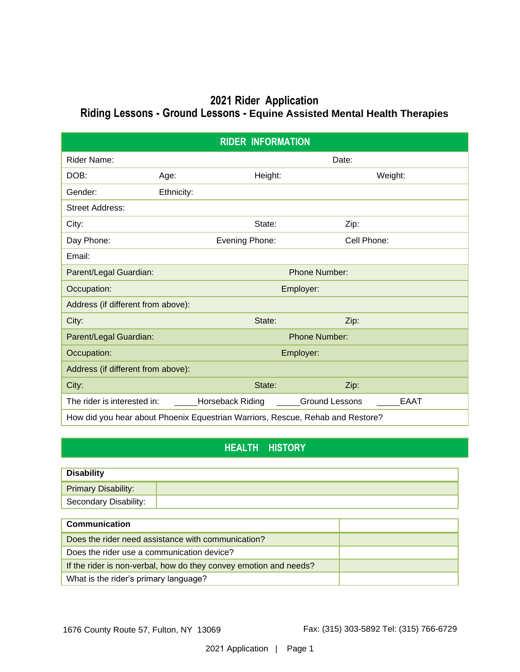## **202**1 **Rider Application Riding Lessons - Ground Lessons - Equine Assisted Mental Health Therapies**

|                                                                                |            | <b>RIDER INFORMATION</b> |                      |             |  |  |  |
|--------------------------------------------------------------------------------|------------|--------------------------|----------------------|-------------|--|--|--|
| Rider Name:                                                                    |            |                          | Date:                |             |  |  |  |
| DOB:                                                                           | Age:       | Height:                  | Weight:              |             |  |  |  |
| Gender:                                                                        | Ethnicity: |                          |                      |             |  |  |  |
| <b>Street Address:</b>                                                         |            |                          |                      |             |  |  |  |
| City:                                                                          |            | State:                   | Zip:                 |             |  |  |  |
| Day Phone:                                                                     |            | Evening Phone:           | Cell Phone:          |             |  |  |  |
| Email:                                                                         |            |                          |                      |             |  |  |  |
| Parent/Legal Guardian:                                                         |            |                          | <b>Phone Number:</b> |             |  |  |  |
| Occupation:                                                                    |            | Employer:                |                      |             |  |  |  |
| Address (if different from above):                                             |            |                          |                      |             |  |  |  |
| City:                                                                          |            | State:                   | Zip:                 |             |  |  |  |
| Parent/Legal Guardian:                                                         |            |                          | <b>Phone Number:</b> |             |  |  |  |
| Occupation:                                                                    |            | Employer:                |                      |             |  |  |  |
| Address (if different from above):                                             |            |                          |                      |             |  |  |  |
| City:                                                                          |            | State:                   | Zip:                 |             |  |  |  |
| The rider is interested in:                                                    |            | Horseback Riding         | Ground Lessons       | <b>EAAT</b> |  |  |  |
| How did you hear about Phoenix Equestrian Warriors, Rescue, Rehab and Restore? |            |                          |                      |             |  |  |  |

## **HEALTH HISTORY**

| <b>Disability</b>          |  |
|----------------------------|--|
| <b>Primary Disability:</b> |  |
| Secondary Disability:      |  |

| Communication                                                     |  |
|-------------------------------------------------------------------|--|
| Does the rider need assistance with communication?                |  |
| Does the rider use a communication device?                        |  |
| If the rider is non-verbal, how do they convey emotion and needs? |  |
| What is the rider's primary language?                             |  |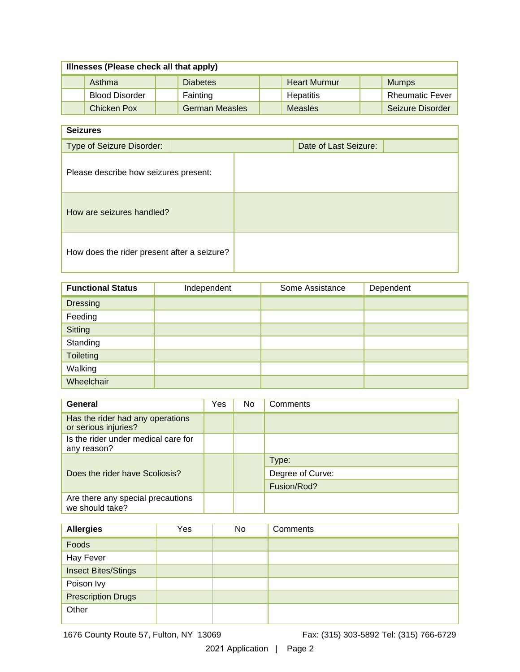| Illnesses (Please check all that apply) |  |                       |  |                     |  |                        |  |
|-----------------------------------------|--|-----------------------|--|---------------------|--|------------------------|--|
| Asthma                                  |  | <b>Diabetes</b>       |  | <b>Heart Murmur</b> |  | <b>Mumps</b>           |  |
| <b>Blood Disorder</b>                   |  | Fainting              |  | Hepatitis           |  | <b>Rheumatic Fever</b> |  |
| <b>Chicken Pox</b>                      |  | <b>German Measles</b> |  | <b>Measles</b>      |  | Seizure Disorder       |  |

## **Seizures**

| Type of Seizure Disorder:                   | Date of Last Seizure: |
|---------------------------------------------|-----------------------|
|                                             |                       |
| Please describe how seizures present:       |                       |
| How are seizures handled?                   |                       |
| How does the rider present after a seizure? |                       |

| <b>Functional Status</b> | Independent | Some Assistance | Dependent |
|--------------------------|-------------|-----------------|-----------|
| <b>Dressing</b>          |             |                 |           |
| Feeding                  |             |                 |           |
| <b>Sitting</b>           |             |                 |           |
| Standing                 |             |                 |           |
| <b>Toileting</b>         |             |                 |           |
| Walking                  |             |                 |           |
| Wheelchair               |             |                 |           |

| General                                                  | Yes | No. | Comments         |
|----------------------------------------------------------|-----|-----|------------------|
| Has the rider had any operations<br>or serious injuries? |     |     |                  |
| Is the rider under medical care for<br>any reason?       |     |     |                  |
|                                                          |     |     | Type:            |
| Does the rider have Scoliosis?                           |     |     | Degree of Curve: |
|                                                          |     |     | Fusion/Rod?      |
| Are there any special precautions<br>we should take?     |     |     |                  |

| <b>Allergies</b>           | Yes | No | Comments |
|----------------------------|-----|----|----------|
| Foods                      |     |    |          |
| Hay Fever                  |     |    |          |
| <b>Insect Bites/Stings</b> |     |    |          |
| Poison Ivy                 |     |    |          |
| <b>Prescription Drugs</b>  |     |    |          |
| Other                      |     |    |          |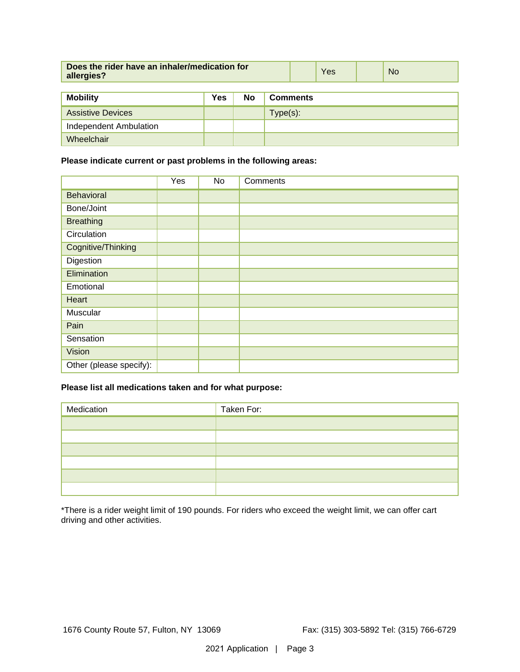| Does the rider have an inhaler/medication for<br>allergies? |                            |                |  | Yes             | <b>No</b> |  |  |
|-------------------------------------------------------------|----------------------------|----------------|--|-----------------|-----------|--|--|
|                                                             |                            |                |  |                 |           |  |  |
| $M$ ohility                                                 | $V_{\mathbf{a}\mathbf{a}}$ | N <sub>a</sub> |  | <b>Commonto</b> |           |  |  |

| <b>Mobility</b>          | <b>Yes</b> | No | <b>Comments</b> |
|--------------------------|------------|----|-----------------|
| <b>Assistive Devices</b> |            |    | $Type(s)$ :     |
| Independent Ambulation   |            |    |                 |
| Wheelchair               |            |    |                 |

#### **Please indicate current or past problems in the following areas:**

|                         | Yes | No | Comments |
|-------------------------|-----|----|----------|
| Behavioral              |     |    |          |
| Bone/Joint              |     |    |          |
| <b>Breathing</b>        |     |    |          |
| Circulation             |     |    |          |
| Cognitive/Thinking      |     |    |          |
| Digestion               |     |    |          |
| Elimination             |     |    |          |
| Emotional               |     |    |          |
| Heart                   |     |    |          |
| Muscular                |     |    |          |
| Pain                    |     |    |          |
| Sensation               |     |    |          |
| Vision                  |     |    |          |
| Other (please specify): |     |    |          |

## **Please list all medications taken and for what purpose:**

| Medication | Taken For: |
|------------|------------|
|            |            |
|            |            |
|            |            |
|            |            |
|            |            |
|            |            |

\*There is a rider weight limit of 190 pounds. For riders who exceed the weight limit, we can offer cart driving and other activities.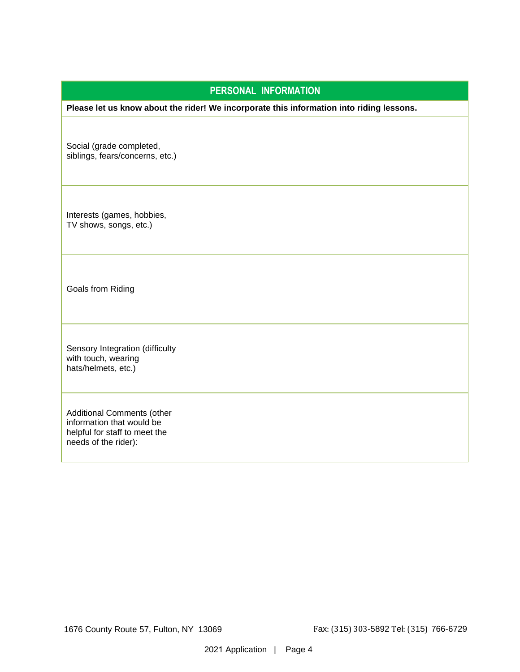#### **PERSONAL INFORMATION**

**Please let us know about the rider! We incorporate this information into riding lessons.**

Social (grade completed, siblings, fears/concerns, etc.)

Interests (games, hobbies, TV shows, songs, etc.)

Goals from Riding

Sensory Integration (difficulty with touch, wearing hats/helmets, etc.)

Additional Comments (other information that would be helpful for staff to meet the needs of the rider):

1676 County Route 57, Fulton, NY 13069 Fax: (315) 303-5892 Tel: (315) 766-6729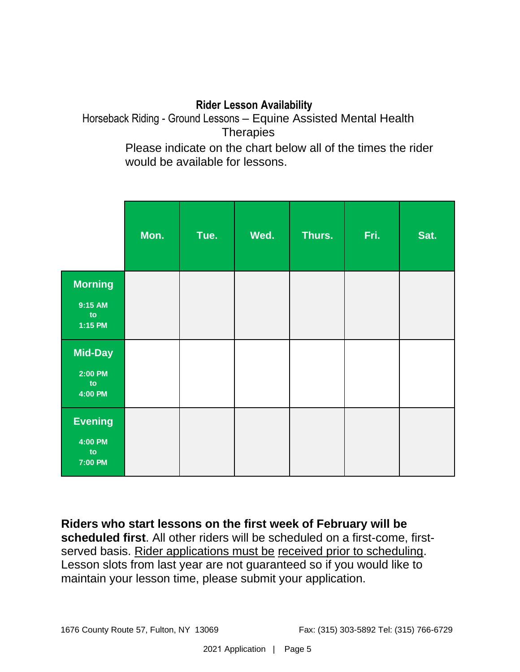## **Rider Lesson Availability**

Horseback Riding - Ground Lessons – Equine Assisted Mental Health **Therapies** 

Please indicate on the chart below all of the times the rider would be available for lessons.

|                                            | Mon. | Tue. | Wed. | Thurs. | Fri. | Sat. |
|--------------------------------------------|------|------|------|--------|------|------|
| <b>Morning</b><br>9:15 AM<br>to<br>1:15 PM |      |      |      |        |      |      |
| Mid-Day<br>$2:00$ PM<br>to<br>4:00 PM      |      |      |      |        |      |      |
| <b>Evening</b><br>4:00 PM<br>to<br>7:00 PM |      |      |      |        |      |      |

**Riders who start lessons on the first week of February will be scheduled first**. All other riders will be scheduled on a first-come, firstserved basis. Rider applications must be received prior to scheduling. Lesson slots from last year are not guaranteed so if you would like to maintain your lesson time, please submit your application.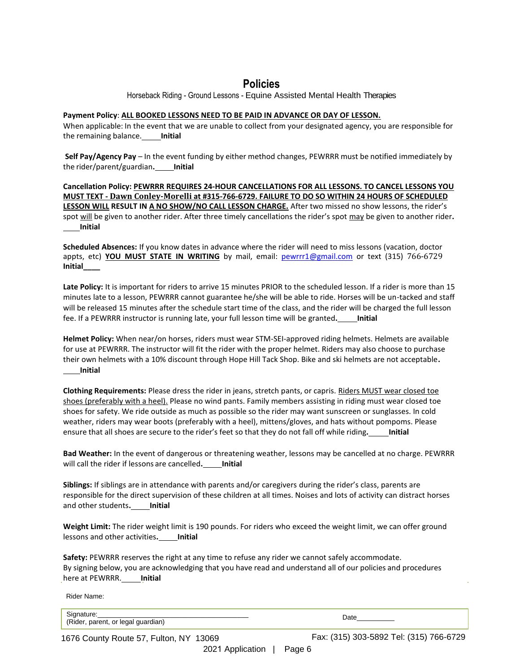### **Policies**

Horseback Riding - Ground Lessons - Equine Assisted Mental Health Therapies

#### **Payment Policy**: **ALL BOOKED LESSONS NEED TO BE PAID IN ADVANCE OR DAY OF LESSON.**

When applicable: In the event that we are unable to collect from your designated agency, you are responsible for the remaining balance. **Initial**

**Self Pay/Agency Pay** – In the event funding by either method changes, PEWRRR must be notified immediately by the rider/parent/guardian**. Initial**

**Cancellation Policy: PEWRRR REQUIRES 24-HOUR CANCELLATIONS FOR ALL LESSONS. TO CANCEL LESSONS YOU MUST TEXT - Dawn Conley-Morelli at #315-766-6729. FAILURE TO DO SO WITHIN 24 HOURS OF SCHEDULED LESSON WILL RESULT IN A NO SHOW/NO CALL LESSON CHARGE.** After two missed no show lessons, the rider's spot will be given to another rider. After three timely cancellations the rider's spot may be given to another rider**. Initial**

**Scheduled Absences:** If you know dates in advance where the rider will need to miss lessons (vacation, doctor appts, etc) YOU MUST STATE IN WRITING by mail, email: [pewrrr1@gmail.com](mailto:pewrrr1@gmail.com) or text (315) 766-6729 **Initial\_\_\_\_**

**Late Policy:** It is important for riders to arrive 15 minutes PRIOR to the scheduled lesson. If a rider is more than 15 minutes late to a lesson, PEWRRR cannot guarantee he/she will be able to ride. Horses will be un-tacked and staff will be released 15 minutes after the schedule start time of the class, and the rider will be charged the full lesson fee. If a PEWRRR instructor is running late, your full lesson time will be granted**. Initial**

**Helmet Policy:** When near/on horses, riders must wear STM-SEI-approved riding helmets. Helmets are available for use at PEWRRR. The instructor will fit the rider with the proper helmet. Riders may also choose to purchase their own helmets with a 10% discount through Hope Hill Tack Shop. Bike and ski helmets are not acceptable**. Initial**

**Clothing Requirements:** Please dress the rider in jeans, stretch pants, or capris. Riders MUST wear closed toe shoes (preferably with a heel). Please no wind pants. Family members assisting in riding must wear closed toe shoes for safety. We ride outside as much as possible so the rider may want sunscreen or sunglasses. In cold weather, riders may wear boots (preferably with a heel), mittens/gloves, and hats without pompoms. Please ensure that all shoes are secure to the rider's feet so that they do not fall off while riding**. Initial**

**Bad Weather:** In the event of dangerous or threatening weather, lessons may be cancelled at no charge. PEWRRR will call the rider if lessons are cancelled**. Initial**

**Siblings:** If siblings are in attendance with parents and/or caregivers during the rider's class, parents are responsible for the direct supervision of these children at all times. Noises and lots of activity can distract horses and other students**. Initial**

**Weight Limit:** The rider weight limit is 190 pounds. For riders who exceed the weight limit, we can offer ground lessons and other activities**. Initial**

**Safety:** PEWRRR reserves the right at any time to refuse any rider we cannot safely accommodate. By signing below, you are acknowledging that you have read and understand all of our policies and procedures here at PEWRRR. **Initial**

Rider Name:

| Signature:                         |  |
|------------------------------------|--|
| (Rider, parent, or legal guardian) |  |
|                                    |  |

1676 County Route 57, Fulton, NY 13069 Fax: (315) 303-5892 Tel: (315) 766-6729

2021 Application | Page 6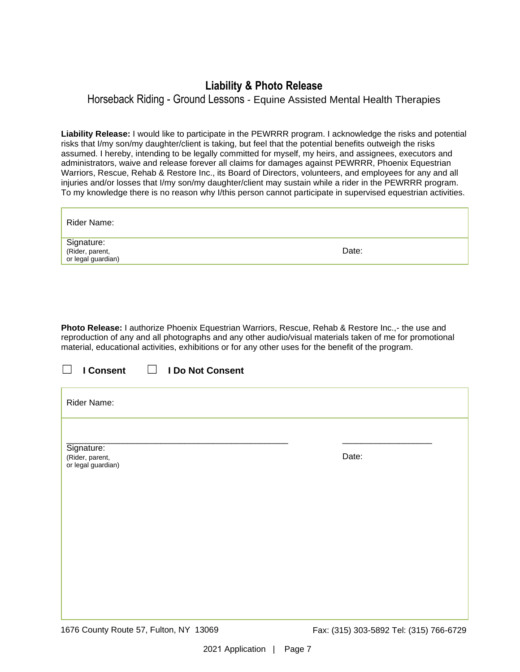## **Liability & Photo Release**

Horseback Riding - Ground Lessons - Equine Assisted Mental Health Therapies

**Liability Release:** I would like to participate in the PEWRRR program. I acknowledge the risks and potential risks that I/my son/my daughter/client is taking, but feel that the potential benefits outweigh the risks assumed. I hereby, intending to be legally committed for myself, my heirs, and assignees, executors and administrators, waive and release forever all claims for damages against PEWRRR, Phoenix Equestrian Warriors, Rescue, Rehab & Restore Inc., its Board of Directors, volunteers, and employees for any and all injuries and/or losses that I/my son/my daughter/client may sustain while a rider in the PEWRRR program. To my knowledge there is no reason why I/this person cannot participate in supervised equestrian activities.

| Rider Name:                                         |       |
|-----------------------------------------------------|-------|
| Signature:<br>(Rider, parent,<br>or legal guardian) | Date: |

**Photo Release:** I authorize Phoenix Equestrian Warriors, Rescue, Rehab & Restore Inc.,- the use and reproduction of any and all photographs and any other audio/visual materials taken of me for promotional material, educational activities, exhibitions or for any other uses for the benefit of the program.

| I Consent                                           | I Do Not Consent<br>$\Box$ |       |
|-----------------------------------------------------|----------------------------|-------|
| Rider Name:                                         |                            |       |
| Signature:<br>(Rider, parent,<br>or legal guardian) |                            | Date: |
|                                                     |                            |       |
|                                                     |                            |       |
|                                                     |                            |       |

1676 County Route 57, Fulton, NY 13069 Fax: (315) 303-5892 Tel: (315) 766-6729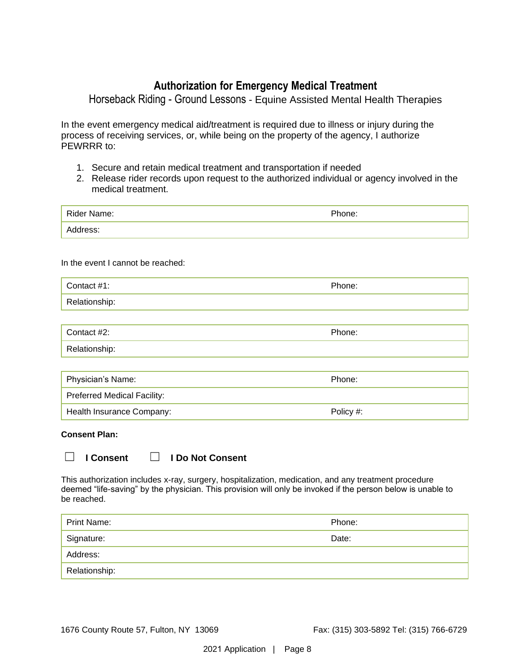## **Authorization for Emergency Medical Treatment**

Horseback Riding - Ground Lessons - Equine Assisted Mental Health Therapies

In the event emergency medical aid/treatment is required due to illness or injury during the process of receiving services, or, while being on the property of the agency, I authorize PEWRRR to:

- 1. Secure and retain medical treatment and transportation if needed
- 2. Release rider records upon request to the authorized individual or agency involved in the medical treatment.

| Rider Name: | Phone: |
|-------------|--------|
| Address:    |        |

In the event I cannot be reached:

| Contact #1:   | Phone: |
|---------------|--------|
| Relationship: |        |
|               |        |
| Contact #2:   | Phone: |
| Relationship: |        |

| Physician's Name:                  | Phone:    |
|------------------------------------|-----------|
| <b>Preferred Medical Facility:</b> |           |
| Health Insurance Company:          | Policy #: |

**Consent Plan:**

☐ **I Consent** ☐ **I Do Not Consent**

This authorization includes x-ray, surgery, hospitalization, medication, and any treatment procedure deemed "life-saving" by the physician. This provision will only be invoked if the person below is unable to be reached.

| Print Name:   | Phone: |
|---------------|--------|
| Signature:    | Date:  |
| Address:      |        |
| Relationship: |        |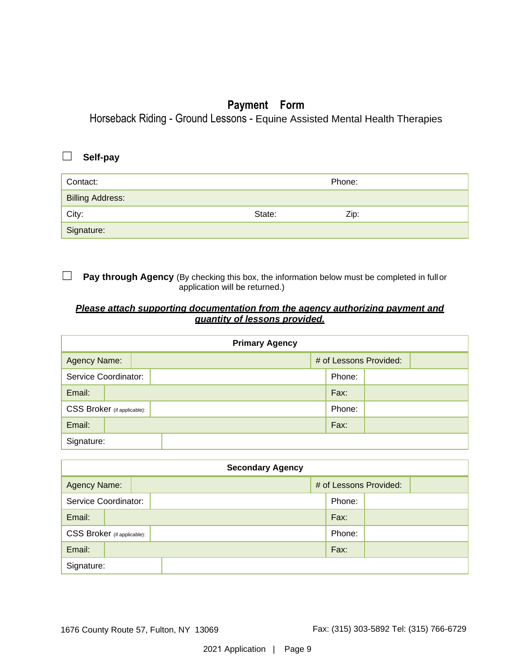## **Payment Form**

Horseback Riding - Ground Lessons - Equine Assisted Mental Health Therapies

#### ☐ **Self-pay**

| Contact:                | Phone: |      |
|-------------------------|--------|------|
| <b>Billing Address:</b> |        |      |
| City:                   | State: | Zip: |
| Signature:              |        |      |

□ **Pay through Agency** (By checking this box, the information below must be completed in full or application will be returned.)

#### *Please attach supporting documentation from the agency authorizing payment and quantity of lessons provided.*

| <b>Primary Agency</b>              |                      |                        |        |      |  |
|------------------------------------|----------------------|------------------------|--------|------|--|
| Agency Name:                       |                      | # of Lessons Provided: |        |      |  |
|                                    | Service Coordinator: |                        | Phone: |      |  |
| Email:                             |                      |                        |        | Fax: |  |
| <b>CSS Broker</b> (if applicable): |                      | Phone:                 |        |      |  |
| Email:                             |                      |                        |        | Fax: |  |
| Signature:                         |                      |                        |        |      |  |

| <b>Secondary Agency</b>     |  |                        |      |        |  |  |
|-----------------------------|--|------------------------|------|--------|--|--|
| <b>Agency Name:</b>         |  | # of Lessons Provided: |      |        |  |  |
| Service Coordinator:        |  |                        |      | Phone: |  |  |
| Email:                      |  |                        |      | Fax:   |  |  |
| CSS Broker (if applicable): |  | Phone:                 |      |        |  |  |
| Email:                      |  |                        | Fax: |        |  |  |
| Signature:                  |  |                        |      |        |  |  |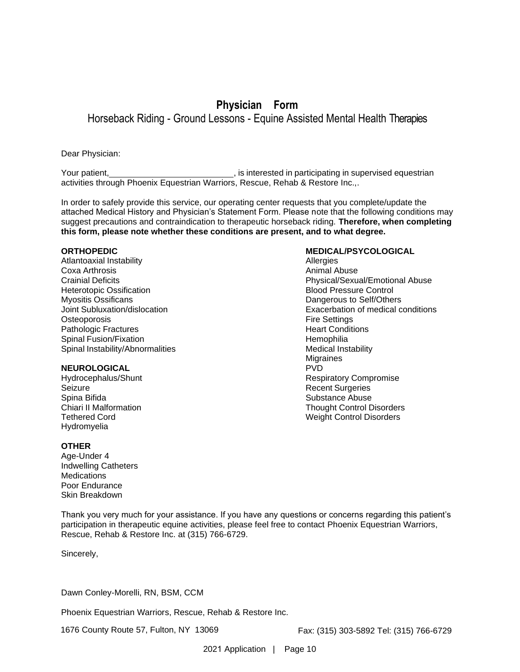## **Physician Form** Horseback Riding - Ground Lessons - Equine Assisted Mental Health Therapies

Dear Physician:

Your patient, The state of the state in participating in supervised equestrian activities through Phoenix Equestrian Warriors, Rescue, Rehab & Restore Inc.,.

In order to safely provide this service, our operating center requests that you complete/update the attached Medical History and Physician's Statement Form. Please note that the following conditions may suggest precautions and contraindication to therapeutic horseback riding. **Therefore, when completing this form, please note whether these conditions are present, and to what degree.**

Atlantoaxial Instability **Allergies** Allergies Coxa Arthrosis **Animal Abuse Animal Abuse Animal Abuse Animal Abuse** Heterotopic Ossification **Blood Pressure Control** Myositis Ossificans Dangerous to Self/Others Osteoporosis **Fire Settings** Pathologic Fractures **Heart Conditions** Spinal Fusion/Fixation **Hemophilia** Spinal Instability/Abnormalities **Medical Instability** Medical Instability

#### **NEUROLOGICAL** PVD

Seizure **Recent Surgeries Recent Surgeries Recent Surgeries** Spina Bifida **Substance Abuse** Substance Abuse Hydromyelia

#### **OTHER**

Age-Under 4 Indwelling Catheters **Medications** Poor Endurance Skin Breakdown

Thank you very much for your assistance. If you have any questions or concerns regarding this patient's participation in therapeutic equine activities, please feel free to contact Phoenix Equestrian Warriors, Rescue, Rehab & Restore Inc. at (315) 766-6729.

Sincerely,

Dawn Conley-Morelli, RN, BSM, CCM

Phoenix Equestrian Warriors, Rescue, Rehab & Restore Inc.

1676 County Route 57, Fulton, NY 13069 Fax: (315) 303-5892 Tel: (315) 766-6729

**ORTHOPEDIC MEDICAL/PSYCOLOGICAL**

Crainial Deficits Physical/Sexual/Emotional Abuse Joint Subluxation/dislocation Exacerbation of medical conditions Migraines Hydrocephalus/Shunt **Respiratory Compromise** Respiratory Compromise Chiari II Malformation Thought Control Disorders Tethered Cord Weight Control Disorders